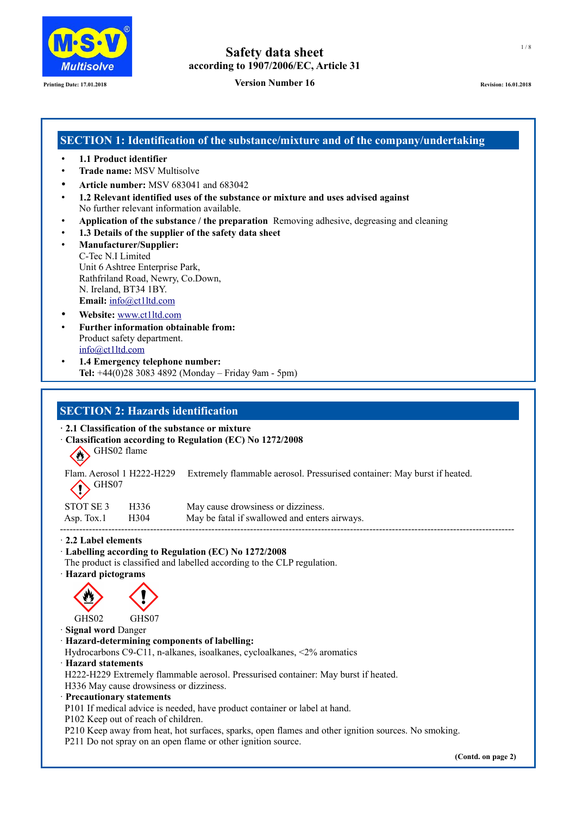

## **Printing Date: 17.01.2018 Revision: 16.01.2018 Revision: 16.01.2018 Revision: 16.01.2018 Revision: 16.01.2018**

# **SECTION 1: Identification of the substance/mixture and of the company/undertaking**

- **1.1 Product identifier**
- **Trade name:** MSV Multisolve
- **Article number:** MSV 683041 and 683042
- **1.2 Relevant identified uses of the substance or mixture and uses advised against** No further relevant information available.
- **Application of the substance / the preparation** Removing adhesive, degreasing and cleaning
- **1.3 Details of the supplier of the safety data sheet**
- **Manufacturer/Supplier:** C-Tec N.I Limited Unit 6 Ashtree Enterprise Park, Rathfriland Road, Newry, Co.Down, N. Ireland, BT34 1BY. **Email:** [info@ct1ltd.com](mailto:info@ct1ltd.com)
- **Website:** [www.ct1ltd.com](http://www.ct1ltd.com/)
- **Further information obtainable from:** Product safety department. [info@ct1ltd.com](mailto:info@ct1ltd.com)
- **1.4 Emergency telephone number: Tel:** +44(0)28 3083 4892 (Monday – Friday 9am - 5pm)

## **SECTION 2: Hazards identification**

**· 2.1 Classification of the substance or mixture**

- · **Classification according to Regulation (EC) No 1272/2008**
	- GHS02 flame

|                                               | Flam. Aerosol 1 H222-H229 Extremely flammable aerosol. Pressurised container: May burst if heated. |
|-----------------------------------------------|----------------------------------------------------------------------------------------------------|
| $\left\langle \right\rangle$ <sup>GHS07</sup> |                                                                                                    |
|                                               |                                                                                                    |

| STOT SE 3 H336<br>Asp. Tox.1 H304 | May cause drowsiness or dizziness.<br>May be fatal if swallowed and enters airways. |
|-----------------------------------|-------------------------------------------------------------------------------------|
|                                   |                                                                                     |

· **2.2 Label elements**

## · **Labelling according to Regulation (EC) No 1272/2008**

- The product is classified and labelled according to the CLP regulation.
- · **Hazard pictograms**



GHS02 GHS07

· **Signal word** Danger

· **Hazard-determining components of labelling:**

Hydrocarbons C9-C11, n-alkanes, isoalkanes, cycloalkanes, <2% aromatics

· **Hazard statements**

H222-H229 Extremely flammable aerosol. Pressurised container: May burst if heated. H336 May cause drowsiness or dizziness.

· **Precautionary statements**

P101 If medical advice is needed, have product container or label at hand.

P102 Keep out of reach of children.

P210 Keep away from heat, hot surfaces, sparks, open flames and other ignition sources. No smoking.

P211 Do not spray on an open flame or other ignition source.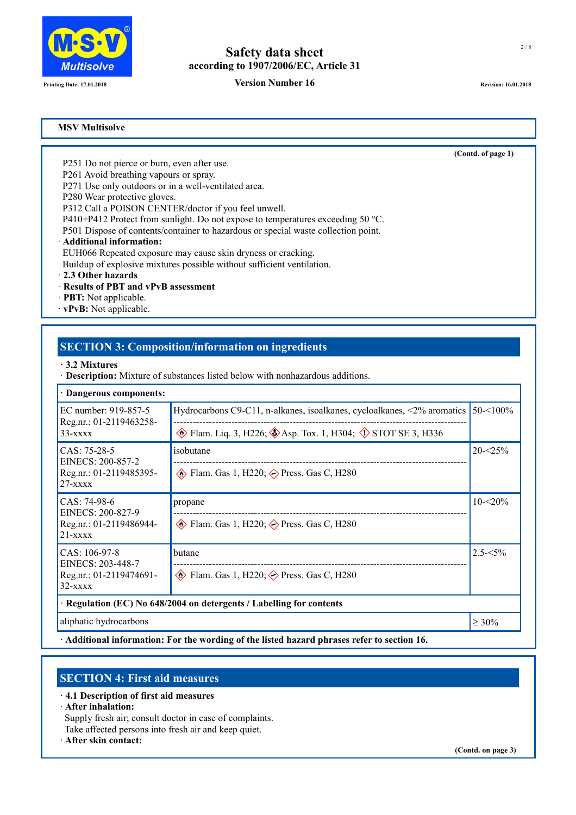

**Printing Date: 17.01.2018 Revision: 16.01.2018 Revision: 16.01.2018 Revision: 16.01.2018 Revision: 16.01.2018** 

**(Contd. of page 1)**

## **MSV Multisolve**

P251 Do not pierce or burn, even after use.

P261 Avoid breathing vapours or spray.

P271 Use only outdoors or in a well-ventilated area.

P280 Wear protective gloves.

P312 Call a POISON CENTER/doctor if you feel unwell.

P410+P412 Protect from sunlight. Do not expose to temperatures exceeding 50 °C.

P501 Dispose of contents/container to hazardous or special waste collection point.

## · **Additional information:**

EUH066 Repeated exposure may cause skin dryness or cracking.

Buildup of explosive mixtures possible without sufficient ventilation.

· **2.3 Other hazards**

## · **Results of PBT and vPvB assessment**

- · **PBT:** Not applicable.
- **· vPvB:** Not applicable.

# **SECTION 3: Composition/information on ingredients**

- **· 3.2 Mixtures**
- · **Description:** Mixture of substances listed below with nonhazardous additions.

| · Dangerous components:                                                     |                                                                                   |             |
|-----------------------------------------------------------------------------|-----------------------------------------------------------------------------------|-------------|
| EC number: 919-857-5<br>Reg.nr.: 01-2119463258-                             | Hydrocarbons C9-C11, n-alkanes, isoalkanes, cycloalkanes, $\langle 2\%$ aromatics |             |
| $33 - x$ $xx$                                                               | Elam. Liq. 3, H226; Asp. Tox. 1, H304; $\Diamond$ STOT SE 3, H336                 |             |
| $CAS: 75-28-5$<br>EINECS: 200-857-2                                         | isobutane                                                                         | $20 - 25%$  |
| Reg.nr.: 01-2119485395-<br>$27 -$ xxxx                                      | $\circledast$ Flam. Gas 1, H220; $\circledast$ Press. Gas C, H280                 |             |
| CAS: 74-98-6<br>EINECS: 200-827-9<br>Reg.nr.: 01-2119486944-<br>$21 -$ xxxx | propane                                                                           | $10 - 20\%$ |
|                                                                             | $\circledast$ Flam. Gas 1, H220; $\circledast$ Press. Gas C, H280                 |             |
| $CAS: 106-97-8$<br>EINECS: 203-448-7                                        | butane                                                                            | $2.5 - 5\%$ |
| Reg.nr.: 01-2119474691-<br>$32  xxxxx$                                      | $\circledcirc$ Flam. Gas 1, H220; $\circledcirc$ Press. Gas C, H280               |             |
| Regulation (EC) No 648/2004 on detergents / Labelling for contents          |                                                                                   |             |
| aliphatic hydrocarbons                                                      |                                                                                   | $\geq 30\%$ |

**· Additional information: For the wording of the listed hazard phrases refer to section 16.**

# **SECTION 4: First aid measures**

- **· 4.1 Description of first aid measures**
- · **After inhalation:**

Supply fresh air; consult doctor in case of complaints.

Take affected persons into fresh air and keep quiet.

· **After skin contact:**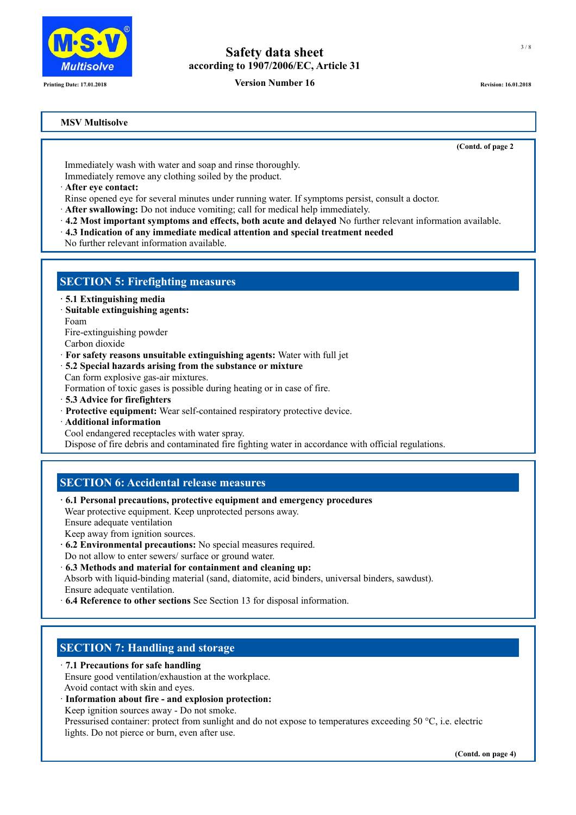

**Printing Date: 17.01.2018 Revision: 16.01.2018 Revision: 16.01.2018 Revision: 16.01.2018 Revision: 16.01.2018** 

## **MSV Multisolve**

**(Contd. of page 2)**

 Immediately wash with water and soap and rinse thoroughly. Immediately remove any clothing soiled by the product.

- · **After eye contact:**
- Rinse opened eye for several minutes under running water. If symptoms persist, consult a doctor.
- · **After swallowing:** Do not induce vomiting; call for medical help immediately.
- · **4.2 Most important symptoms and effects, both acute and delayed** No further relevant information available.
- · **4.3 Indication of any immediate medical attention and special treatment needed**
- No further relevant information available.

# **SECTION 5: Firefighting measures**

- **· 5.1 Extinguishing media**
- · **Suitable extinguishing agents:** Foam

Fire-extinguishing powder Carbon dioxide

- 
- · **For safety reasons unsuitable extinguishing agents:** Water with full jet
- · **5.2 Special hazards arising from the substance or mixture**

Can form explosive gas-air mixtures.

- Formation of toxic gases is possible during heating or in case of fire.
- · **5.3 Advice for firefighters**
- · **Protective equipment:** Wear self-contained respiratory protective device.
- · **Additional information**
- Cool endangered receptacles with water spray.

Dispose of fire debris and contaminated fire fighting water in accordance with official regulations.

# **SECTION 6: Accidental release measures**

- **· 6.1 Personal precautions, protective equipment and emergency procedures** Wear protective equipment. Keep unprotected persons away. Ensure adequate ventilation Keep away from ignition sources.
- **· 6.2 Environmental precautions:** No special measures required. Do not allow to enter sewers/ surface or ground water.
- · **6.3 Methods and material for containment and cleaning up:** Absorb with liquid-binding material (sand, diatomite, acid binders, universal binders, sawdust). Ensure adequate ventilation.
- · **6.4 Reference to other sections** See Section 13 for disposal information.

# **SECTION 7: Handling and storage**

- · **7.1 Precautions for safe handling** Ensure good ventilation/exhaustion at the workplace. Avoid contact with skin and eyes.
- · **Information about fire and explosion protection:** Keep ignition sources away - Do not smoke.

Pressurised container: protect from sunlight and do not expose to temperatures exceeding 50 °C, i.e. electric lights. Do not pierce or burn, even after use.

**(Contd. on page 4)**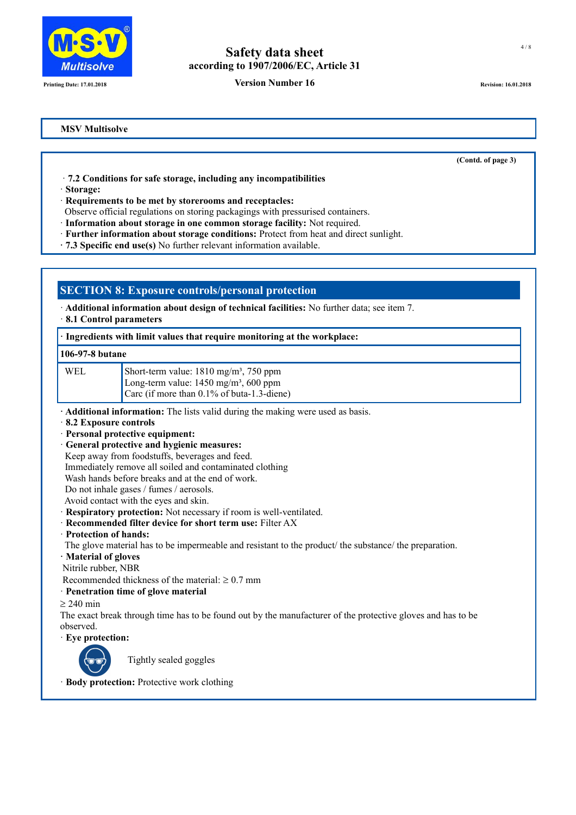

**Printing Date: 17.01.2018 Revision: 16.01.2018 Revision: 16.01.2018 Revision: 16.01.2018 Revision: 16.01.2018** 

**(Contd. of page 3)**

## **MSV Multisolve**

· **7.2 Conditions for safe storage, including any incompatibilities**

· **Storage:**

· **Requirements to be met by storerooms and receptacles:**

Observe official regulations on storing packagings with pressurised containers.

· **Information about storage in one common storage facility:** Not required.

· **Further information about storage conditions:** Protect from heat and direct sunlight.

**· 7.3 Specific end use(s)** No further relevant information available.

# **SECTION 8: Exposure controls/personal protection**

· **Additional information about design of technical facilities:** No further data; see item 7.

· **8.1 Control parameters**

## **· Ingredients with limit values that require monitoring at the workplace:**

# **106-97-8 butane**

| WEL | Short-term value: $1810 \text{ mg/m}^3$ , 750 ppm                                                      |
|-----|--------------------------------------------------------------------------------------------------------|
|     | Long-term value: $1450 \text{ mg/m}^3$ , 600 ppm<br>$\vert$ Carc (if more than 0.1% of buta-1.3-diene) |
|     |                                                                                                        |

**· Additional information:** The lists valid during the making were used as basis.

- · **8.2 Exposure controls**
- · **Personal protective equipment:**
- · **General protective and hygienic measures:**
- Keep away from foodstuffs, beverages and feed.

Immediately remove all soiled and contaminated clothing

Wash hands before breaks and at the end of work.

- Do not inhale gases / fumes / aerosols.
- Avoid contact with the eyes and skin.
- · **Respiratory protection:** Not necessary if room is well-ventilated.
- · **Recommended filter device for short term use:** Filter AX
- · **Protection of hands:**
- The glove material has to be impermeable and resistant to the product/ the substance/ the preparation.
- **· Material of gloves**

Nitrile rubber, NBR

- Recommended thickness of the material:  $\geq 0.7$  mm
- · **Penetration time of glove material**
- $\geq$  240 min

The exact break through time has to be found out by the manufacturer of the protective gloves and has to be observed.

· **Eye protection:**



Tightly sealed goggles

· **Body protection:** Protective work clothing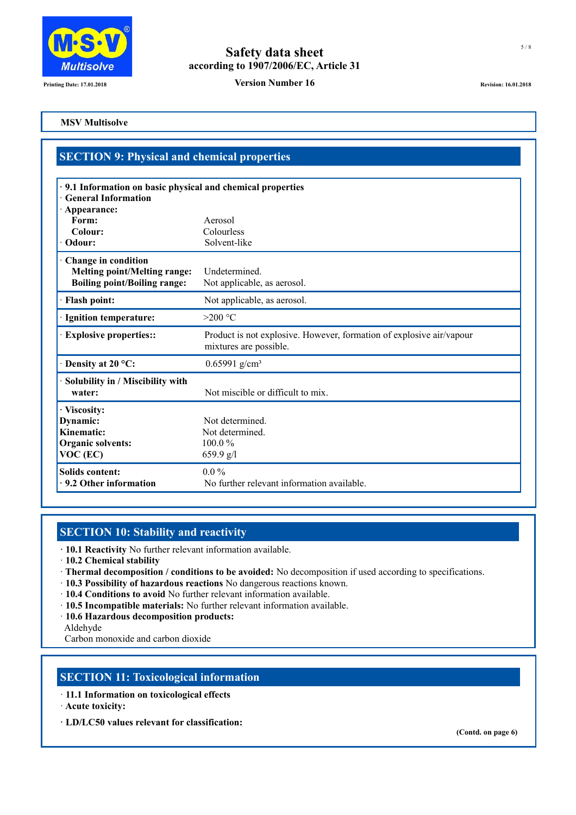

**Printing Date: 17.01.2018 Version Number 16 Revision: 16.01.2018 Revision: 16.01.2018** 

## **MSV Multisolve**

# **SECTION 9: Physical and chemical properties**

| <b>General Information</b>                                                                        | · 9.1 Information on basic physical and chemical properties                                    |  |
|---------------------------------------------------------------------------------------------------|------------------------------------------------------------------------------------------------|--|
| · Appearance:                                                                                     |                                                                                                |  |
| Form:                                                                                             | Aerosol                                                                                        |  |
| Colour:                                                                                           | Colourless                                                                                     |  |
| Odour:                                                                                            | Solvent-like                                                                                   |  |
| Change in condition<br><b>Melting point/Melting range:</b><br><b>Boiling point/Boiling range:</b> | Undetermined.<br>Not applicable, as aerosol.                                                   |  |
| <b>Flash point:</b>                                                                               | Not applicable, as aerosol.                                                                    |  |
| <b>Ignition temperature:</b>                                                                      | $>200$ °C                                                                                      |  |
| <b>Explosive properties::</b>                                                                     | Product is not explosive. However, formation of explosive air/vapour<br>mixtures are possible. |  |
| Density at 20 °C:                                                                                 | $0.65991$ g/cm <sup>3</sup>                                                                    |  |
| Solubility in / Miscibility with<br>water:                                                        | Not miscible or difficult to mix.                                                              |  |
| · Viscosity:<br>Dynamic:<br>Kinematic:<br><b>Organic solvents:</b><br>VOC (EC)                    | Not determined.<br>Not determined.<br>$100.0\%$<br>659.9 $g/l$                                 |  |
| Solids content:<br>· 9.2 Other information                                                        | $0.0\%$<br>No further relevant information available.                                          |  |

# **SECTION 10: Stability and reactivity**

**· 10.1 Reactivity** No further relevant information available.

- · **10.2 Chemical stability**
- · **Thermal decomposition / conditions to be avoided:** No decomposition if used according to specifications.
- · **10.3 Possibility of hazardous reactions** No dangerous reactions known.
- · **10.4 Conditions to avoid** No further relevant information available.
- · **10.5 Incompatible materials:** No further relevant information available.
- · **10.6 Hazardous decomposition products:**
- Aldehyde

Carbon monoxide and carbon dioxide

# **SECTION 11: Toxicological information**

- · **11.1 Information on toxicological effects**
- · **Acute toxicity:**
- **· LD/LC50 values relevant for classification:**

**(Contd. on page 6)**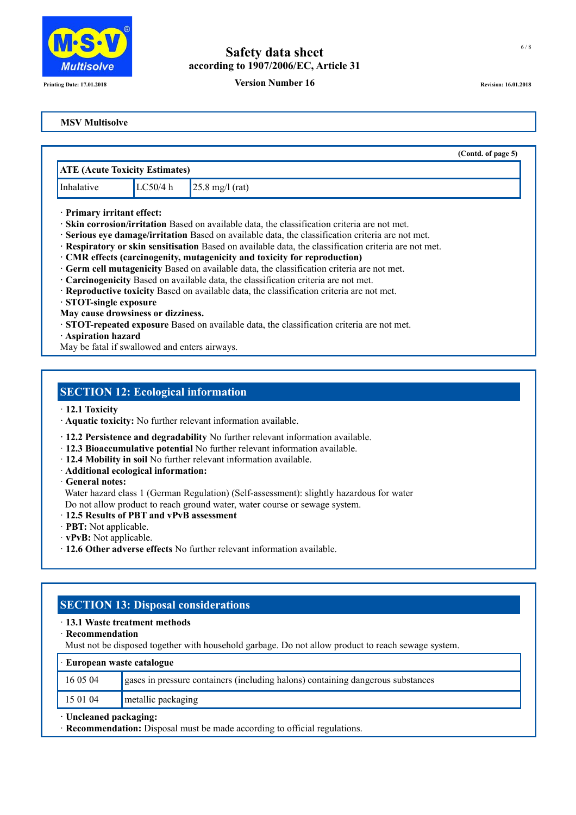

## **Printing Date: 17.01.2018 Revision: 16.01.2018 Revision: 16.01.2018 Revision: 16.01.2018 Revision: 16.01.2018**

## **MSV Multisolve**

|                            |                                       |                                                                                                       | (Contd. of page 5) |
|----------------------------|---------------------------------------|-------------------------------------------------------------------------------------------------------|--------------------|
|                            | <b>ATE</b> (Acute Toxicity Estimates) |                                                                                                       |                    |
| Inhalative                 | LC50/4 h                              | $25.8 \text{ mg/l (rat)}$                                                                             |                    |
| · Primary irritant effect: |                                       | · Skin corrosion/irritation Based on available data, the classification criteria are not met.         |                    |
|                            |                                       | · Serious eye damage/irritation Based on available data, the classification criteria are not met.     |                    |
|                            |                                       | · Respiratory or skin sensitisation Based on available data, the classification criteria are not met. |                    |
|                            |                                       | · CMR effects (carcinogenity, mutagenicity and toxicity for reproduction)                             |                    |

- **· Germ cell mutagenicity** Based on available data, the classification criteria are not met.
- **· Carcinogenicity** Based on available data, the classification criteria are not met.
- **· Reproductive toxicity** Based on available data, the classification criteria are not met.
- **· STOT-single exposure**

**May cause drowsiness or dizziness.**

- **· STOT-repeated exposure** Based on available data, the classification criteria are not met.
- **· Aspiration hazard**

May be fatal if swallowed and enters airways.

## **SECTION 12: Ecological information**

· **12.1 Toxicity**

- **· Aquatic toxicity:** No further relevant information available.
- **· 12.2 Persistence and degradability** No further relevant information available.
- · **12.3 Bioaccumulative potential** No further relevant information available.
- · **12.4 Mobility in soil** No further relevant information available.
- · **Additional ecological information:**

· **General notes:**

 Water hazard class 1 (German Regulation) (Self-assessment): slightly hazardous for water Do not allow product to reach ground water, water course or sewage system.

- · **12.5 Results of PBT and vPvB assessment**
- · **PBT:** Not applicable.
- · **vPvB:** Not applicable.
- · **12.6 Other adverse effects** No further relevant information available.

# **SECTION 13: Disposal considerations**

## · **13.1 Waste treatment methods**

· **Recommendation**

Must not be disposed together with household garbage. Do not allow product to reach sewage system.

| $\cdot$ European waste catalogue |                                                                                 |  |
|----------------------------------|---------------------------------------------------------------------------------|--|
| 16 05 04                         | gases in pressure containers (including halons) containing dangerous substances |  |
| 15 01 04<br>metallic packaging   |                                                                                 |  |
| · Uncleaned packaging:           |                                                                                 |  |

· **Recommendation:** Disposal must be made according to official regulations.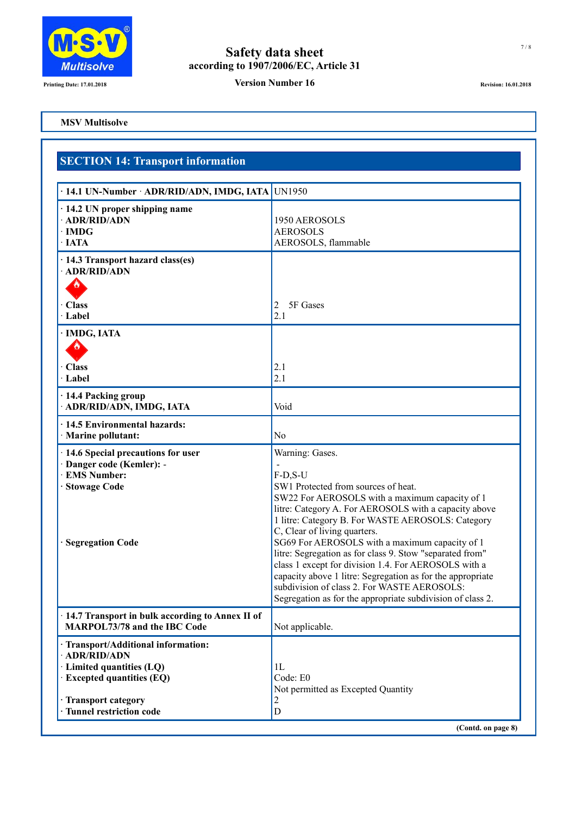

**Printing Date: 17.01.2018 Printing Date: 17.01.2018 Revision: 16.01.2018 Revision: 16.01.2018** 

## **MSV Multisolve**

# **SECTION 14: Transport information**

| · 14.1 UN-Number · ADR/RID/ADN, IMDG, IATA UN1950                                                                                                                          |                                                                                                                                                                                                                                                                                                                                                                                                                                                                                                                                                                                                                      |
|----------------------------------------------------------------------------------------------------------------------------------------------------------------------------|----------------------------------------------------------------------------------------------------------------------------------------------------------------------------------------------------------------------------------------------------------------------------------------------------------------------------------------------------------------------------------------------------------------------------------------------------------------------------------------------------------------------------------------------------------------------------------------------------------------------|
| · 14.2 UN proper shipping name<br>· ADR/RID/ADN<br>$\cdot$ IMDG<br>· IATA                                                                                                  | 1950 AEROSOLS<br><b>AEROSOLS</b><br>AEROSOLS, flammable                                                                                                                                                                                                                                                                                                                                                                                                                                                                                                                                                              |
| · 14.3 Transport hazard class(es)<br>· ADR/RID/ADN                                                                                                                         |                                                                                                                                                                                                                                                                                                                                                                                                                                                                                                                                                                                                                      |
| <b>Class</b><br>Label                                                                                                                                                      | 5F Gases<br>2<br>2.1                                                                                                                                                                                                                                                                                                                                                                                                                                                                                                                                                                                                 |
| · IMDG, IATA                                                                                                                                                               |                                                                                                                                                                                                                                                                                                                                                                                                                                                                                                                                                                                                                      |
| <b>Class</b><br>· Label                                                                                                                                                    | 2.1<br>2.1                                                                                                                                                                                                                                                                                                                                                                                                                                                                                                                                                                                                           |
| · 14.4 Packing group<br>· ADR/RID/ADN, IMDG, IATA                                                                                                                          | Void                                                                                                                                                                                                                                                                                                                                                                                                                                                                                                                                                                                                                 |
| · 14.5 Environmental hazards:<br>· Marine pollutant:                                                                                                                       | No                                                                                                                                                                                                                                                                                                                                                                                                                                                                                                                                                                                                                   |
| · 14.6 Special precautions for user<br>· Danger code (Kemler): -<br><b>EMS Number:</b><br><b>Stowage Code</b><br><b>Segregation Code</b>                                   | Warning: Gases.<br>$F-D,S-U$<br>SW1 Protected from sources of heat.<br>SW22 For AEROSOLS with a maximum capacity of 1<br>litre: Category A. For AEROSOLS with a capacity above<br>1 litre: Category B. For WASTE AEROSOLS: Category<br>C, Clear of living quarters.<br>SG69 For AEROSOLS with a maximum capacity of 1<br>litre: Segregation as for class 9. Stow "separated from"<br>class 1 except for division 1.4. For AEROSOLS with a<br>capacity above 1 litre: Segregation as for the appropriate<br>subdivision of class 2. For WASTE AEROSOLS:<br>Segregation as for the appropriate subdivision of class 2. |
| 14.7 Transport in bulk according to Annex II of<br>MARPOL73/78 and the IBC Code                                                                                            | Not applicable.                                                                                                                                                                                                                                                                                                                                                                                                                                                                                                                                                                                                      |
| · Transport/Additional information:<br>· ADR/RID/ADN<br>· Limited quantities (LQ)<br>$\cdot$ Excepted quantities (EQ)<br>· Transport category<br>· Tunnel restriction code | 1L<br>Code: E0<br>Not permitted as Excepted Quantity<br>2<br>$\mathbf D$                                                                                                                                                                                                                                                                                                                                                                                                                                                                                                                                             |